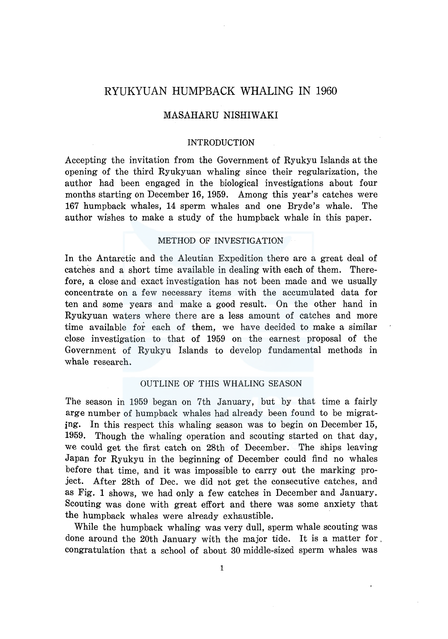# RYUKYUAN HUMPBACK WHALING IN 1960

## MASAHARU NISHIWAKI

## INTRODUCTION

Accepting the invitation from the Government of Ryukyu Islands at the opening of the third Ryukyuan whaling since their regularization, the author had been engaged in the biological investigations about four months starting on December 16, 1959. Among this year's catches were 167 humpback whales, 14 sperm whales and one Bryde's whale. The author wishes to make a study of the humpback whale in this paper.

## METHOD OF INVESTIGATION

In the Antarctic and the Aleutian Expedition there are a great deal of catches and a short time available in dealing with each of them. Therefore, a close and exact investigation has not been made and we usually concentrate on a few necessary items with the accumulated data for ten and some years and make a good result. On the other hand in Ryukyuan waters where there are a less amount of catches and more time available for each of them, we have decided to make a similar close investigation to that of 1959 on the earnest proposal of the Government of Ryukyu Islands to develop fundamental methods in whale research.

## OUTLINE OF THIS WHALING SEASON

The season in 1959 began on 7th January, but by that time a fairly arge number of humpback whales had already been found to be migrating. In this respect this whaling season was to begin on December 15, 1959. Though the whaling operation and scouting started on that day, we could get the first catch on 28th of December. The ships leaving Japan for Ryukyu in the beginning of December could find no whales before that time, and it was impossible to carry out the marking project. After 28th of Dec. we did not get the consecutive catches, and as Fig. 1 shows, we had only a few catches in December and January. Scouting was done with great effort and there was some anxiety that the humpback whales were already exhaustible.

While the humpback whaling was very dull, sperm whale scouting was done around the 20th January with the major tide. It is a matter for. congratulation that a school of about 30 middle-sized sperm whales was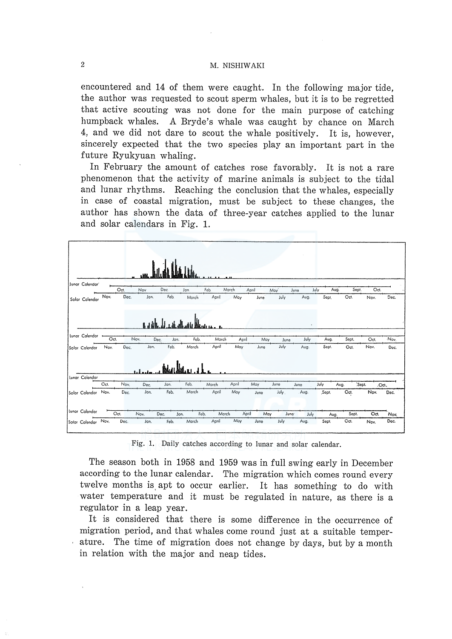#### M. NISHIWAKI

encountered and 14 of them were caught. In the following major tide. the author was requested to scout sperm whales, but it is to be regretted that active scouting was not done for the main purpose of catching humpback whales. A Bryde's whale was caught by chance on March 4, and we did not dare to scout the whale positively. It is, however, sincerely expected that the two species play an important part in the future Ryukyuan whaling.

In February the amount of catches rose favorably. It is not a rare phenomenon that the activity of marine animals is subject to the tidal and lunar rhythms. Reaching the conclusion that the whales, especially in case of coastal migration, must be subject to these changes, the author has shown the data of three-year catches applied to the lunar and solar calendars in Fig. 1.



Fig. 1. Daily catches according to lunar and solar calendar.

The season both in 1958 and 1959 was in full swing early in December according to the lunar calendar. The migration which comes round every twelve months is apt to occur earlier. It has something to do with water temperature and it must be regulated in nature, as there is a regulator in a leap year.

It is considered that there is some difference in the occurrence of migration period, and that whales come round just at a suitable temperature. The time of migration does not change by days, but by a month in relation with the major and neap tides.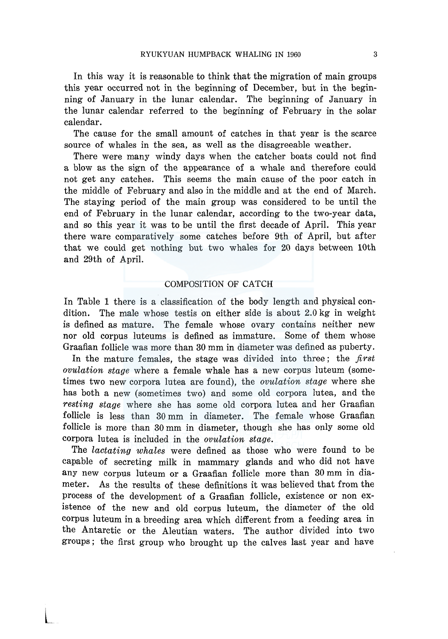In this way it is reasonable to think that the migration of main groups this year occurred not in the beginning of December, but in the beginning of January in the lunar calendar. The beginning of January in the lunar calendar referred to the beginning of February in the solar calendar.

The cause for the small amount of catches in that year is the scarce source of whales in the sea, as well as the disagreeable weather.

There were many windy days when the catcher boats could not find a blow as the sign of the appearance of a whale and therefore could not get any catches. This seems the main cause of the poor catch in the middle of February and also in the middle and at the end of March. The staying period of the main group was considered to be until the end of February in the lunar calendar, according to the two-year data, and so this year it was to be until the first decade of April. This year there ware comparatively some catches before 9th of April, but after that we could get nothing but two whales for 20 days between lOth and 29th of April.

#### COMPOSITION OF CATCH

In Table 1 there is a classification of the body length and physical condition. The male whose testis on either side is about 2.0 kg in weight is defined as mature. The female whose ovary contains neither new nor old corpus luteums is defined as immature. Some of them whose Graafian follicle was more than 30 mm in diameter was defined as puberty.

In the mature females, the stage was divided into three ; the *first ovulation stage* where a female whale has a new corpus luteum (sometimes two new corpora lutea are found), the *ovulation stage* where she has both a new (sometimes two) and some old corpora lutea, and the *resting stage* where she has some old corpora lutea and her Graafian follicle is less than 30 mm in diameter. The female whose Graafian follicle is more than 30 mm in diameter, though she has only some old corpora lutea is included in the *ovulation stage.* 

The *lactating whales* were defined as those who were found to be capable of secreting milk in mammary glands and who did not have any new corpus luteum or a Graafian follicle more than 30 mm in diameter. As the results of these definitions it was believed that from the process of the development of a Graafian follicle, existence or non existence of the new and old corpus luteum, the diameter of the old corpus luteum in a breeding area which different from a feeding area in the Antarctic or the Aleutian waters. The author divided into two groups ; the first group who brought up the calves last year and have

 $\mathbf{L}$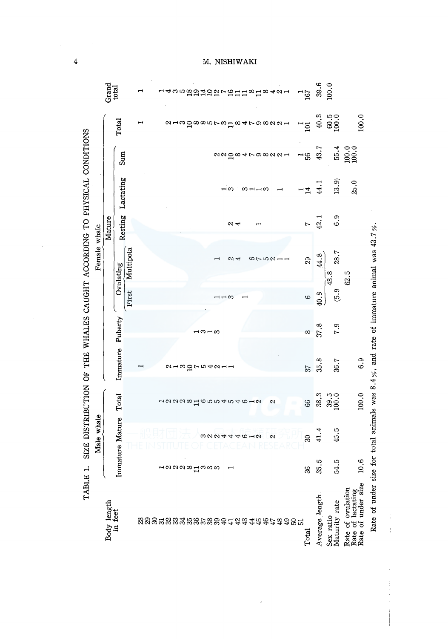|                                                                         |              |                                                          |                   |           |                          |                               |                    | M. NISHIWAKI         |                       |                     |                                                         |                |                                             |                                                              |                                                                                           |       |      |      |
|-------------------------------------------------------------------------|--------------|----------------------------------------------------------|-------------------|-----------|--------------------------|-------------------------------|--------------------|----------------------|-----------------------|---------------------|---------------------------------------------------------|----------------|---------------------------------------------|--------------------------------------------------------------|-------------------------------------------------------------------------------------------|-------|------|------|
|                                                                         |              | $\begin{array}{c}\text{Grad} \\ \text{total}\end{array}$ |                   |           | $\overline{\phantom{0}}$ | ndsonggmaghrgmmadad           |                    |                      |                       |                     | 167                                                     | 39.6           | 100.0                                       |                                                              |                                                                                           |       |      |      |
|                                                                         |              | Total                                                    |                   |           |                          |                               | 213088573184798221 |                      |                       |                     | $\frac{1}{101}$                                         | 40.3           | $\begin{array}{c} 60.5 \\ 00.0 \end{array}$ | 100.0                                                        |                                                                                           |       |      |      |
|                                                                         |              | Mature                                                   | Sum               |           |                          |                               |                    |                      |                       | aagatrowaan         | $-56$                                                   | 43.7           |                                             | $\frac{55.4}{100.0}$                                         |                                                                                           |       |      |      |
|                                                                         | Female whale |                                                          |                   |           |                          |                               |                    | $\rightarrow \infty$ | $\infty$ – – $\infty$ |                     | $\frac{1}{14}$                                          | 44.1           | 13.9)                                       | 25.0                                                         |                                                                                           |       |      |      |
|                                                                         |              |                                                          | Resting Lactating |           |                          |                               |                    | $\sim$ 4             | $\mathbf{H}$          |                     | $\ddot{\phantom{0}}$                                    | 42.1           | 6.9                                         |                                                              |                                                                                           |       |      |      |
|                                                                         |              |                                                          |                   | Multipola |                          |                               |                    | <b>24</b>            |                       | 675211              | 29                                                      | 44.8           | 28.7<br>43.8                                | 62.5                                                         |                                                                                           |       |      |      |
|                                                                         |              |                                                          |                   |           |                          | Ovulating                     | First              |                      |                       |                     | $-1$ $\infty$                                           |                |                                             | $\circ$                                                      | $\frac{40.8}{5}$                                                                          | (5.9) |      |      |
|                                                                         |              |                                                          | Puberty           |           |                          |                               | ⊣⇔⊣⇔               |                      |                       |                     | $\infty$                                                | 37.8           | 7.9                                         |                                                              |                                                                                           |       |      |      |
|                                                                         |              |                                                          | Immature          |           |                          |                               | a-mgruta--         |                      |                       |                     | 57                                                      | 35.8           | 36.7                                        | 6.9                                                          |                                                                                           |       |      |      |
| SIZE DISTRIBUTION OF THE WHALES CAUGHT ACCORDING TO PHYSICAL CONDITIONS |              |                                                          | Total             |           |                          | naaaa downaa aan a            |                    |                      |                       | 2                   | 66                                                      | 38.3           | $39.5$<br>100.0                             | 100.0                                                        |                                                                                           |       |      |      |
|                                                                         | Male whale   |                                                          | Mature            |           |                          |                               |                    |                      | 000444610             | $\mathbf{\Omega}$   | Z                                                       | 41.4           | 45.5                                        |                                                              |                                                                                           |       |      |      |
|                                                                         |              |                                                          |                   |           |                          |                               | Immature           |                      |                       |                     | $\sim$ $\sim$ $\sim$ $\sim$ $\sim$ $\sim$ $\sim$ $\sim$ |                |                                             |                                                              | \$                                                                                        | 35.5  | 54.5 | 10.6 |
| TABLE 1.                                                                |              | Body length<br>in feet                                   |                   |           |                          | នននិតដន្ទនិងនិទ្ធខ្លួនទី៩ដន្ទ |                    |                      |                       | <b>#4\$\$\$\$85</b> | Total                                                   | Average length | Maturity rate<br>Sex ratio                  | Rate of lactating<br>Rate of under size<br>Rate of ovulation | Rate of under size for total animals was 8.4%, and rate of immature animal was $43.7\%$ . |       |      |      |

 $\overline{\phantom{a}}$ 

- --~ ----- --

*.p..* 

 $\bar{\mathcal{A}}$ 

## 1. NISHIWA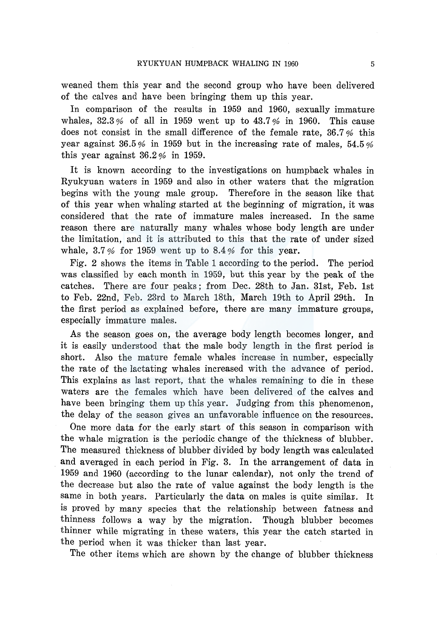weaned them this year and the second group who have been delivered of the calves and have been bringing them up this year.

In comparison of the results in 1959 and 1960, sexually immature whales,  $32.3\%$  of all in 1959 went up to  $43.7\%$  in 1960. This cause does not consist in the small difference of the female rate,  $36.7\%$  this year against  $36.5\%$  in 1959 but in the increasing rate of males,  $54.5\%$ this year against  $36.2\%$  in 1959.

It is known according to the investigations on humpback whales in Ryukyuan waters in 1959 and also in other waters that the migration begins with the young male group. Therefore in the season like that of this year when whaling started at the beginning of migration, it was considered that the rate of immature males increased. In the same reason there are naturally many whales whose body length are under the limitation, and it is attributed to this that the rate of under sized whale,  $3.7\%$  for 1959 went up to  $8.4\%$  for this year.

Fig. 2 shows the items in Table 1 according to the period. The period was classified by each month in 1959, but this year by the peak of the catches. There are four peaks; from Dec. 28th to Jan. 31st, Feb. lst to Feb. 22nd, Feb. 23rd to March 18th, March 19th to April 29th. In the first period as explained before, there are many immature groups, especially immature males.

As the season goes on, the average body length becomes longer, and it is easily understood that the male body length in the first period is short. Also the mature female whales increase in number, especially the rate of the lactating whales increased with the advance of period. This explains as last report, that the whales remaining to die in these waters are the females which have been delivered of the calves and have been bringing them up this year. Judging from this phenomenon, the delay of the season gives an unfavorable influence on the resources.

One more data for the early start of this season in comparison with the whale migration is the periodic change of the thickness of blubber. The measured thickness of blubber divided by body length was calculated and averaged in each period in Fig. 3. In the arrangement of data in 1959 and 1960 (according to the lunar calendar), not only the trend of the decrease but also the rate of value against the body length is the same in both years. Particularly the data on males is quite similar.. It is proved by many species that the relationship between fatness and thinness follows a way by the migration. Though blubber becomes thinner while migrating in these waters, this year the catch started in the period when it was thicker than last year.

The other items which are shown by the change of blubber thickness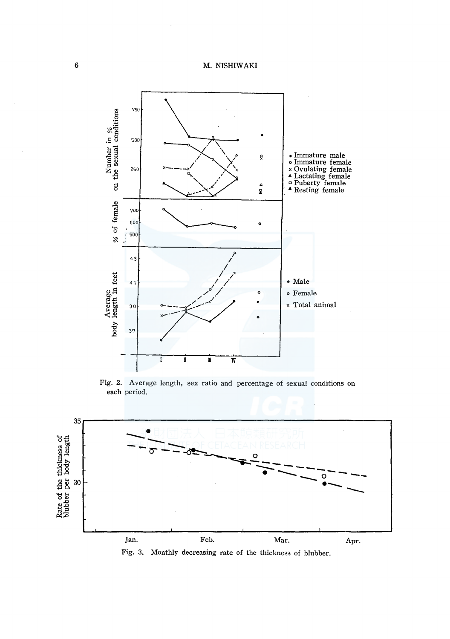

Fig. 2. Average length, sex ratio and percentage of sexual conditions on each period.



Fig. 3. Monthly decreasing rate of the thickness of blubber.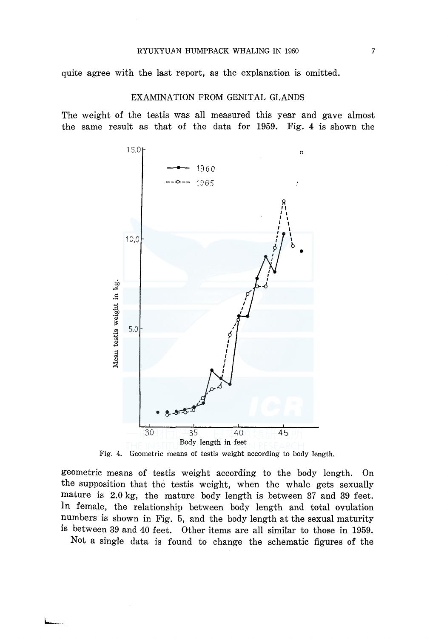quite agree with the last report, as the explanation is omitted.

#### EXAMINATION FROM GENITAL GLANDS

The weight of the testis was all measured this year and gave almost the same result as that of the data for 1959. Fig. 4 is shown the



Fig. 4. Geometric means of testis weight according to body length.

geometric means of testis weight according to the body length. On the supposition that the testis weight, when the whale gets sexually mature is 2.0 kg, the mature body length is between 37 and 39 feet. In female, the relationship between body length and total ovulation numbers is shown in Fig. 5, and the body length at the sexual maturity is between 39 and 40 feet. Other items are all similar to those in 1959.

Not a single data is found to change the schematic figures of the

L.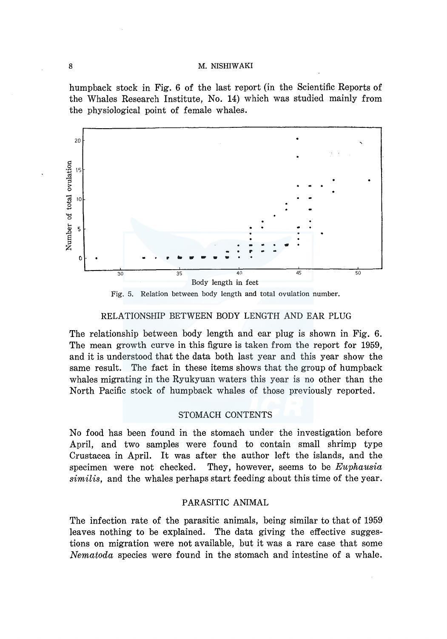#### 8 M. NISHIWAKI

humpback stock in Fig. 6 of the last report (in the Scientific Reports of the Whales Research Institute, No. 14) which was studied mainly from the physiological point of female whales.



RELATIONSHIP BETWEEN BODY LENGTH AND EAR PLUG

The relationship between body length and ear plug is shown in Fig. 6. The mean growth curve in this figure is taken from the report for 1959, and it is understood that the data both last year and this year show the same result. The fact in these items shows that the group of humpback whales migrating in the Ryukyuan waters this year is no other than the North Pacific stock of humpback whales of those previously reported.

#### STOMACH CONTENTS

No food has been found in the stomach under the investigation before April, and two samples were found to contain small shrimp type Crustacea in April. It was after the author left the islands, and the specimen were not checked. They, however, seems to be *Euphausia similis,* and the whales perhaps start feeding about this time of the year.

## PARASITIC ANIMAL

The infection rate of the parasitic animals, being similar to that of 1959 leaves nothing to be explained. The data giving the effective suggestions on migration were not available, but it was a rare case that some *Nematoda* species were found in the stomach and intestine of a whale.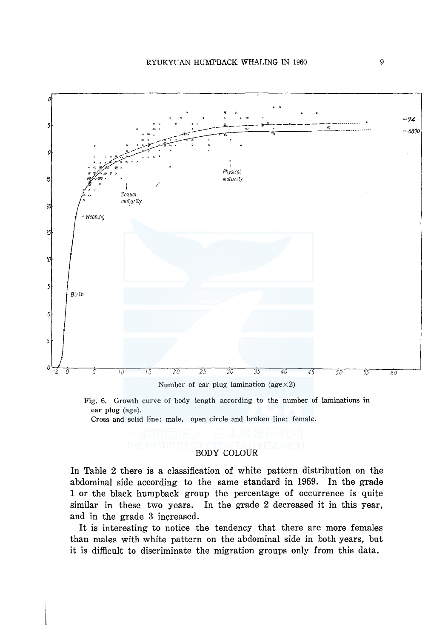

Number of ear plug lamination ( $age \times 2$ )

Fig. 6. Growth curve of body length according to the number of laminations in ear plug (age).

Cross and solid line: male, open circle and broken line: female.

## **BODY COLOUR**

In Table 2 there is a classification of white pattern distribution on the abdominal side according to the same standard in 1959. In the grade 1 or the black humpback group the percentage of occurrence is quite similar in these two years. In the grade 2 decreased it in this year, and in the grade 3 increased.

It is interesting to notice the tendency that there are more females than males with white pattern on the abdominal side in both years, but it is difficult to discriminate the migration groups only from this data.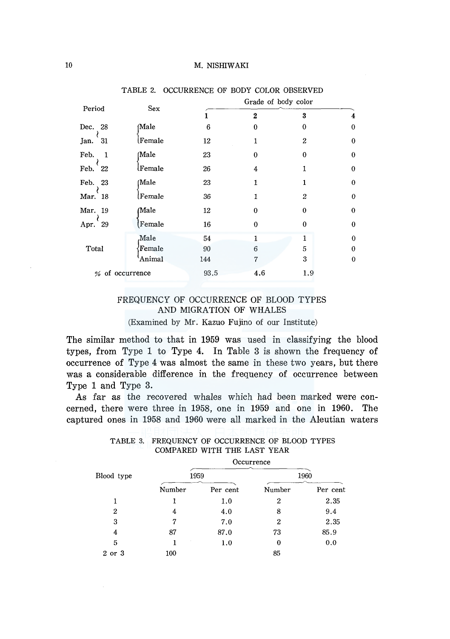| Period               | <b>Sex</b> | Grade of body color |                |                  |                  |  |  |  |
|----------------------|------------|---------------------|----------------|------------------|------------------|--|--|--|
|                      |            |                     | $\overline{2}$ | 3                | 4                |  |  |  |
| Dec. 28              | (Male      | 6                   | $\Omega$       | 0                | $\bf{0}$         |  |  |  |
| Jan. 31              | Female     | 12                  | 1              | $\boldsymbol{2}$ | $\bf{0}$         |  |  |  |
| Feb.<br>$\mathbf{1}$ | Male       | 23                  | $\theta$       | $\boldsymbol{0}$ | $\bf{0}$         |  |  |  |
| Feb. 22              | lFemale    | 26                  | 4              |                  | $\theta$         |  |  |  |
| Feb. 23              | (Male      | 23                  | 1              | 1                | $\mathbf{0}$     |  |  |  |
| Mar. 18              | l Female   | 36                  | 1              | $\overline{2}$   | $\boldsymbol{0}$ |  |  |  |
| Mar. 19              | (Male      | 12                  | $\bf{0}$       | $\theta$         | $\theta$         |  |  |  |
| Apr. 29              | Female)    | 16                  | $\bf{0}$       | $\bf{0}$         | $\bf{0}$         |  |  |  |
|                      | Male       | 54                  | 1              | 1                | $\mathbf{0}$     |  |  |  |
| Total                | Female     | 90                  | 6              | 5                | $\theta$         |  |  |  |
|                      | Animal     | 144                 | 7              | 3                | $\boldsymbol{0}$ |  |  |  |
| % of occurrence      |            | 93.5                | 4.6            | 1.9              |                  |  |  |  |

#### TABLE 2. OCCURRENCE OF BODY COLOR OBSERVED

# FREQUENCY OF OCCURRENCE OF BLOOD TYPES AND MIGRATION OF WHALES

(Examined by Mr. Kazuo Fujino of our Institute)

The similar method to that in 1959 was used in classifying the blood types, from Type 1 to Type 4. In Table 3 is shown the frequency of occurrence of Type 4 was almost the same in these two years, but there was a considerable difference in the frequency of occurrence between Type 1 and Type 3.

As far as the recovered whales which had been marked were concerned, there were three in 1958, one in 1959 and one in 1960. The captured ones in 1958 and 1960 were all marked in the Aleutian waters

|  |                             | TABLE 3. FREQUENCY OF OCCURRENCE OF BLOOD TYPES |
|--|-----------------------------|-------------------------------------------------|
|  | COMPARED WITH THE LAST YEAR |                                                 |

**Occurrence** 

| Blood type     | 1959   |          |        | 1960     |
|----------------|--------|----------|--------|----------|
|                | Number | Per cent | Number | Per cent |
|                |        | 1.0      | 2      | 2.35     |
| $\overline{2}$ | 4      | 4.0      | 8      | 9.4      |
| 3              | 7      | 7.0      | 2      | 2.35     |
| 4              | 87     | 87.0     | 73     | 85.9     |
| 5              |        | 1.0      | 0      | 0.0      |
| 2 or 3         | 100    |          | 85     |          |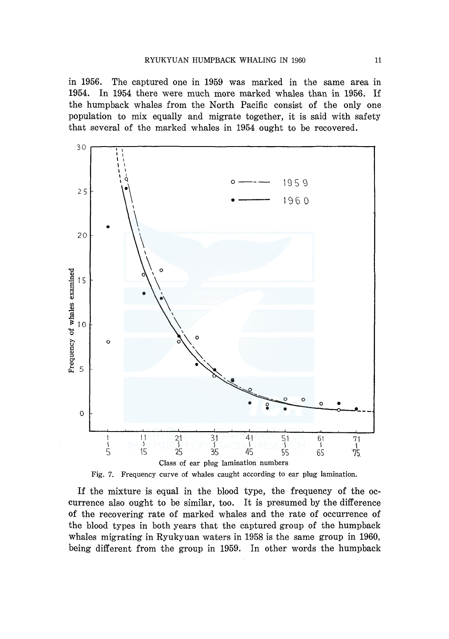in 1956. The captured one in 1959 was marked in the same area in 1954. In 1954 there were much more marked whales than in 1956. If the humpback whales from the North Pacific consist of the only one population to mix equally and migrate together, it is said with safety that several of the marked whales in 1954 ought to be recovered.





If the mixture is equal in the blood type, the frequency of the occurrence also ought to be similar, too. It is presumed by the difference of the recovering rate of marked whales and the rate of occurrence of the blood types in both years that the captured group of the humpback whales migrating in Ryukyuan waters in 1958 is the same group in 1960, being different from the group in 1959. In other words the humpback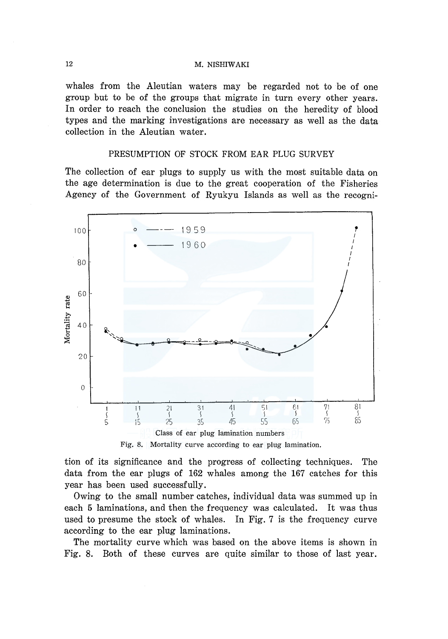## 12 M. NISHIW AKI

whales from the Aleutian waters may be regarded not to be of one group but to be of the groups that migrate in turn every other years. In order to reach the conclusion the studies on the heredity of blood types and the marking investigations are necessary as well as the data collection in the Aleutian water.

## PRESUMPTION OF STOCK FROM EAR PLUG SURVEY

The collection of ear plugs to supply us with the most suitable data on the age determination is due to the great cooperation of the Fisheries Agency of the Government of Ryukyu Islands as well as the recogni-





tion of its significance and the progress of collecting techniques. The data from the ear plugs of 162 whales among the 167 catches for this year has been used successfully.

Owing to the small number catches, individual data was summed up in each 5 laminations, and then the frequency was calculated. It was thus used to presume the stock of whales. In Fig. 7 is the frequency curve according to the ear plug laminations.

The mortality curve which was based on the above items is shown in Fig. 8. Both of these curves are quite similar to those of last year.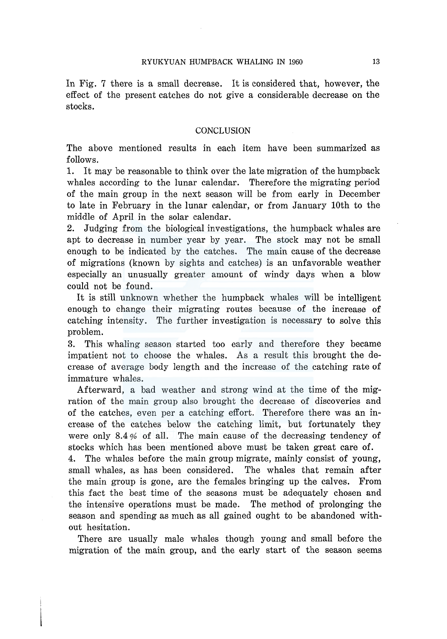In Fig. 7 there is a small decrease. It is considered that, however, the effect of the present catches do not give a considerable decrease on the stocks.

#### **CONCLUSION**

The above mentioned results in each item have been summarized as follows.

1. It may be reasonable to think over the late migration of the humpback whales according to the lunar calendar. Therefore the migrating period of the main group in the next season will be from early in December to late in February in the lunar calendar, or from January lOth to the middle of April in the solar calendar.

2. Judging from the biological investigations, the humpback whales are apt to decrease in number year by year. The stock may not be small enough to be indicated by the catches. The main cause of the decrease of migrations (known by sights and catches) is an unfavorable weather especially an unusually greater amount of windy days when a blow could not be found.

It is still unknown whether the humpback whales will be intelligent enough to change their migrating routes because of the increase of catching intensity. The further investigation is necessary to solve this problem.

3. This whaling season started too early and therefore they became impatient not to choose the whales. As a result this brought the decrease of average body length and the increase of the catching rate of immature whales.

Afterward, a bad weather and strong wind at the time of the migration of the main group also brought the decrease of discoveries and of the catches, even per a catching effort. Therefore there was an increase of the catches below the catching limit, but fortunately they were only 8.4 % of all. The main cause of the decreasing tendency of stocks which has been mentioned above must be taken great care of.

4. The whales before the main group migrate, mainly consist of young, small whales, as has been considered. The whales that remain after the main group is gone, are the females bringing up the calves. From this fact the best time of the seasons must be adequately chosen and the intensive operations must be made. The method of prolonging the season and spending as much as all gained ought to be abandoned without hesitation.

There are usually male whales though young and small before the migration of the main group, and the early start of the season seems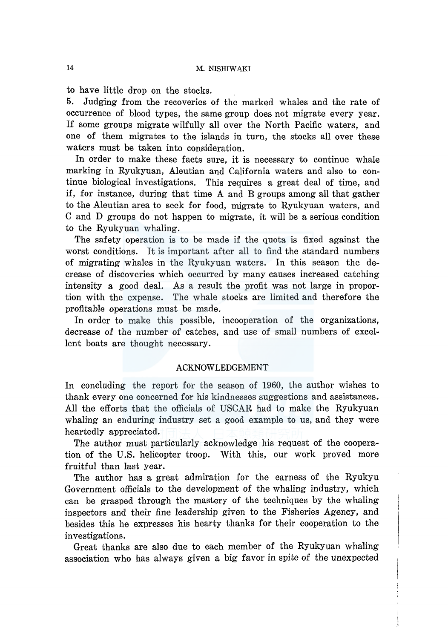## 14 M. NISHIW AKI

to have little drop on the stocks.

5. Judging from the recoveries of the marked whales and the rate of occurrence of blood types, the same group does not migrate every year. If some groups migrate wilfully all over the North Pacific waters, and one of them migrates to the islands in turn, the stocks all over these waters must be taken into consideration.

In order to make these facts sure, it is necessary to continue whale marking in Ryukyuan, Aleutian and California waters and also to continue biological investigations. This requires a great deal of time, and if, for instance, during that time A and B groups among all that gather to the Aleutian area to seek for food, migrate to Ryukyuan waters, and C and D groups do not happen to migrate, it will be a serious condition to the Ryukyuan whaling.

The safety operation is to be made if the quota is fixed against the worst conditions. It is important after all to find the standard numbers of migrating whales in the Ryukyuan waters. In this season the decrease of discoveries which occurred by many causes increased catching intensity a good deal. As a result the profit was not large in proportion with the expense. The whale stocks are limited and therefore the profitable operations must be made.

In order to make this possible, incooperation of the organizations, decrease of the number of catches, and use of small numbers of excellent boats are thought necessary.

#### ACKNOWLEDGEMENT

In concluding the report for the season of 1960, the author wishes to thank every one concerned for his kindnesses suggestions and assistances. All the efforts that the officials of USCAR had to make the Ryukyuan whaling an enduring industry set a good example to us, and they were heartedly appreciated.

The author must particularly acknowledge his request of the cooperation of the U.S. helicopter troop. With this, our work proved more fruitful than last year.

The author has a great admiration for the earness of the Ryukyu Government officials to the development of the whaling industry, which can be grasped through the mastery of the techniques by the whaling inspectors and their fine leadership given to the Fisheries Agency, and besides this he expresses his hearty thanks for their cooperation to the investigations.

Great thanks are also due to each member of the Ryukyuan whaling association who has always given a big favor in spite of the unexpected